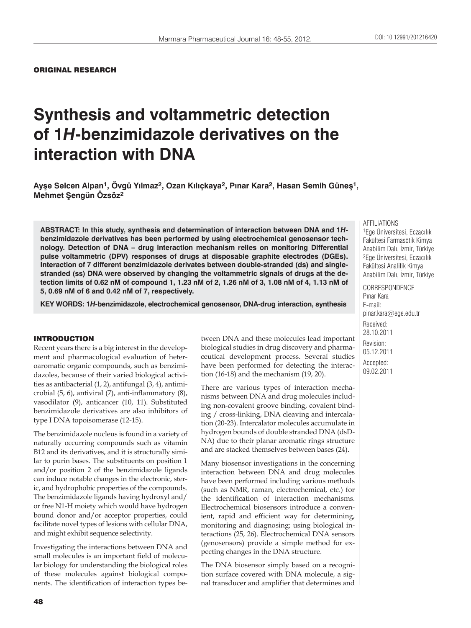# **Synthesis and voltammetric detection of 1***H***-benzimidazole derivatives on the interaction with DNA**

**Ayşe Selcen Alpan1, Övgü Yılmaz2, Ozan Kılıçkaya2, Pınar Kara2, Hasan Semih Güneş1, Mehmet Şengün Özsöz2**

**ABSTRACT: In this study, synthesis and determination of interaction between DNA and 1***H***benzimidazole derivatives has been performed by using electrochemical genosensor technology. Detection of DNA – drug interaction mechanism relies on monitoring Differential pulse voltammetric (DPV) responses of drugs at disposable graphite electrodes (DGEs). Interaction of 7 different benzimidazole derivates between double-stranded (ds) and singlestranded (ss) DNA were observed by changing the voltammetric signals of drugs at the detection limits of 0.62 nM of compound 1, 1.23 nM of 2, 1.26 nM of 3, 1.08 nM of 4, 1.13 nM of 5, 0.69 nM of 6 and 0.42 nM of 7, respectively.**

**KEY WORDS: 1***H***-benzimidazole, electrochemical genosensor, DNA-drug interaction, synthesis**

#### INTRODUCTION

Recent years there is a big interest in the development and pharmacological evaluation of heteroaromatic organic compounds, such as benzimidazoles, because of their varied biological activities as antibacterial (1, 2), antifungal (3, 4), antimicrobial (5, 6), antiviral (7), anti-inflammatory (8), vasodilator (9), anticancer (10, 11). Substituted benzimidazole derivatives are also inhibitors of type I DNA topoisomerase (12-15).

The benzimidazole nucleus is found in a variety of naturally occurring compounds such as vitamin B12 and its derivatives, and it is structurally similar to purin bases. The substituents on position 1 and/or position 2 of the benzimidazole ligands can induce notable changes in the electronic, steric, and hydrophobic properties of the compounds. The benzimidazole ligands having hydroxyl and/ or free N1-H moiety which would have hydrogen bound donor and/or acceptor properties, could facilitate novel types of lesions with cellular DNA, and might exhibit sequence selectivity.

Investigating the interactions between DNA and small molecules is an important field of molecular biology for understanding the biological roles of these molecules against biological components. The identification of interaction types between DNA and these molecules lead important biological studies in drug discovery and pharmaceutical development process. Several studies have been performed for detecting the interaction (16-18) and the mechanism (19, 20).

There are various types of interaction mechanisms between DNA and drug molecules including non-covalent groove binding, covalent binding / cross-linking, DNA cleaving and intercalation (20-23). Intercalator molecules accumulate in hydrogen bounds of double stranded DNA (dsD-NA) due to their planar aromatic rings structure and are stacked themselves between bases (24).

Many biosensor investigations in the concerning interaction between DNA and drug molecules have been performed including various methods (such as NMR, raman, electrochemical, etc.) for the identification of interaction mechanisms. Electrochemical biosensors introduce a convenient, rapid and efficient way for determining, monitoring and diagnosing; using biological interactions (25, 26). Electrochemical DNA sensors (genosensors) provide a simple method for expecting changes in the DNA structure.

The DNA biosensor simply based on a recognition surface covered with DNA molecule, a signal transducer and amplifier that determines and AFFILIATIONS

1Ege Üniversitesi, Eczacılık Fakültesi Farmasötik Kimya Anabilim Dalı, İzmir, Türkiye 2Ege Üniversitesi, Eczacılık Fakültesi Analitik Kimya Anabilim Dalı, İzmir, Türkiye

CORRESPONDENCE Pınar Kara E-mail: pinar.kara@ege.edu.tr Received: 28.10.2011 Revision: 05.12.2011 Accepted: 09.02.2011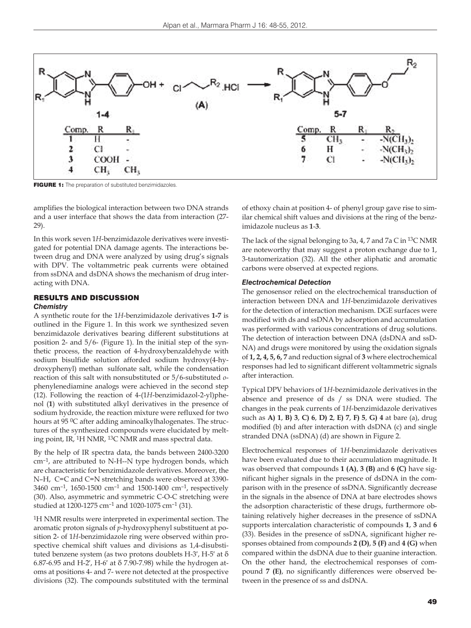

**FIGURE 1:** The preparation of substituted benzimidazoles.

amplifies the biological interaction between two DNA strands and a user interface that shows the data from interaction (27- 29).

In this work seven 1*H*-benzimidazole derivatives were investigated for potential DNA damage agents. The interactions between drug and DNA were analyzed by using drug's signals with DPV. The voltammetric peak currents were obtained from ssDNA and dsDNA shows the mechanism of drug interacting with DNA.

#### RESULTS AND DISCUSSION *Chemistry*

A synthetic route for the 1*H*-benzimidazole derivatives **1-7** is outlined in the Figure 1. In this work we synthesized seven benzimidazole derivatives bearing different substitutions at position 2- and 5/6- (Figure 1). In the initial step of the synthetic process, the reaction of 4-hydroxybenzaldehyde with sodium bisulfide solution afforded sodium hydroxy(4-hydroxyphenyl) methan sulfonate salt, while the condensation reaction of this salt with nonsubstituted or 5/6-substituted *o*phenylenediamine analogs were achieved in the second step (12). Following the reaction of 4-(1*H*-benzimidazol-2-yl)phenol (**1**) with substituted alkyl derivatives in the presence of sodium hydroxide, the reaction mixture were refluxed for two hours at 95 <sup>0</sup>C after adding aminoalkylhalogenates. The structures of the synthesized compounds were elucidated by melting point, IR, 1H NMR, 13C NMR and mass spectral data.

By the help of IR spectra data, the bands between 2400-3200 cm–1, are attributed to N-H--N type hydrogen bonds, which are characteristic for benzimidazole derivatives. Moreover, the N–H, C=C and C=N stretching bands were observed at 3390- 3460 cm–1, 1650-1500 cm–1 and 1500-1400 cm–1, respectively (30). Also, asymmetric and symmetric C-O-C stretching were studied at 1200-1275 cm–1 and 1020-1075 cm–1 (31).

1H NMR results were interpreted in experimental section. The aromatic proton signals of *p*-hydroxyphenyl substituent at position 2- of 1*H*-benzimidazole ring were observed within prospective chemical shift values and divisions as 1,4-disubstituted benzene system (as two protons doublets H-3′, H-5′ at δ 6.87-6.95 and H-2′, H-6′ at δ 7.90-7.98) while the hydrogen atoms at positions 4- and 7- were not detected at the prospective divisions (32). The compounds substituted with the terminal of ethoxy chain at position 4- of phenyl group gave rise to similar chemical shift values and divisions at the ring of the benzimidazole nucleus as **1**-**3**.

The lack of the signal belonging to 3a, 4, 7 and 7a C in 13C NMR are noteworthy that may suggest a proton exchange due to 1, 3-tautomerization (32). All the other aliphatic and aromatic carbons were observed at expected regions.

#### *Electrochemical Detection*

The genosensor relied on the electrochemical transduction of interaction between DNA and 1*H*-benzimidazole derivatives for the detection of interaction mechanism. DGE surfaces were modified with ds and ssDNA by adsorption and accumulation was performed with various concentrations of drug solutions. The detection of interaction between DNA (dsDNA and ssD-NA) and drugs were monitored by using the oxidation signals of **1, 2, 4, 5, 6, 7** and reduction signal of **3** where electrochemical responses had led to significant different voltammetric signals after interaction.

Typical DPV behaviors of 1*H*-beznimidazole derivatives in the absence and presence of ds / ss DNA were studied. The changes in the peak currents of 1*H*-benzimidazole derivatives such as **A) 1**, **B) 3**, **C) 6**, **D) 2**, **E) 7**, **F) 5**, **G) 4** at bare (a), drug modified (b) and after interaction with dsDNA (c) and single stranded DNA (ssDNA) (d) are shown in Figure 2.

Electrochemical responses of 1*H*-benzimidazole derivatives have been evaluated due to their accumulation magnitude. It was observed that compounds **1 (A)**, **3 (B)** and **6 (C)** have significant higher signals in the presence of dsDNA in the comparison with in the presence of ssDNA. Significantly decrease in the signals in the absence of DNA at bare electrodes shows the adsorption characteristic of these drugs, furthermore obtaining relatively higher decreases in the presence of ssDNA supports intercalation characteristic of compounds **1**, **3** and **6** (33). Besides in the presence of ssDNA, significant higher responses obtained from compounds **2 (D)**, **5 (F)** and **4 (G)** when compared within the dsDNA due to their guanine interaction. On the other hand, the electrochemical responses of compound **7 (E)**, no significantly differences were observed between in the presence of ss and dsDNA.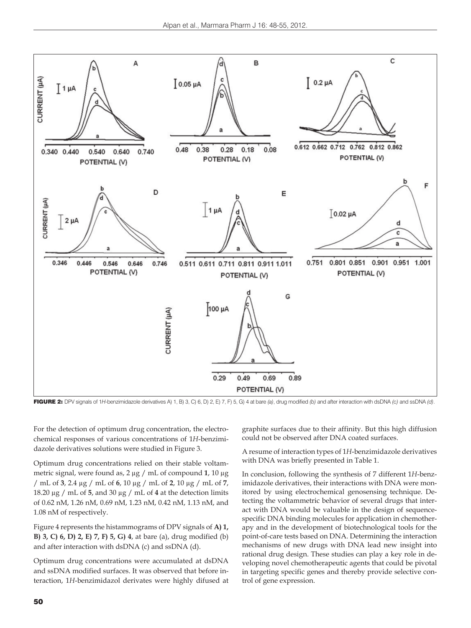

FIGURE 2: DPV signals of 1*H*-benzimidazole derivatives A) 1, B) 3, C) 6, D) 2, E) 7, F) 5, G) 4 at bare *(a)*, drug modified *(b)* and after interaction with dsDNA *(c)* and ssDNA *(d)*.

For the detection of optimum drug concentration, the electrochemical responses of various concentrations of 1*H*-benzimidazole derivatives solutions were studied in Figure 3.

Optimum drug concentrations relied on their stable voltammetric signal, were found as, 2 μg / mL of compound **1**, 10 μg / mL of **3**, 2.4 μg / mL of **6**, 10 μg / mL of **2**, 10 μg / mL of **7**, 18.20 μg / mL of **5**, and 30 μg / mL of **4** at the detection limits of 0.62 nM, 1.26 nM, 0.69 nM, 1.23 nM, 0.42 nM, 1.13 nM, and 1.08 nM of respectively.

Figure 4 represents the histammograms of DPV signals of **A) 1, B) 3, C) 6, D) 2, E) 7, F) 5, G) 4**, at bare (a), drug modified (b) and after interaction with dsDNA (c) and ssDNA (d).

Optimum drug concentrations were accumulated at dsDNA and ssDNA modified surfaces. It was observed that before interaction, 1*H*-benzimidazol derivates were highly difused at

graphite surfaces due to their affinity. But this high diffusion could not be observed after DNA coated surfaces.

A resume of interaction types of 1*H*-benzimidazole derivatives with DNA was briefly presented in Table 1.

In conclusion, following the synthesis of 7 different 1*H*-benzimidazole derivatives, their interactions with DNA were monitored by using electrochemical genosensing technique. Detecting the voltammetric behavior of several drugs that interact with DNA would be valuable in the design of sequencespecific DNA binding molecules for application in chemotherapy and in the development of biotechnological tools for the point-of-care tests based on DNA. Determining the interaction mechanisms of new drugs with DNA lead new insight into rational drug design. These studies can play a key role in developing novel chemotherapeutic agents that could be pivotal in targeting specific genes and thereby provide selective control of gene expression.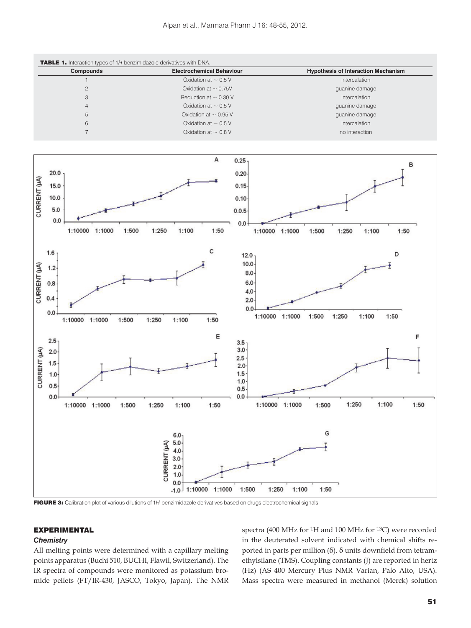

FIGURE 3: Calibration plot of various dilutions of 1*H*-benzimidazole derivatives based on drugs electrochemical signals.

## EXPERIMENTAL

### *Chemistry*

All melting points were determined with a capillary melting points apparatus (Buchi 510, BUCHI, Flawil, Switzerland). The IR spectra of compounds were monitored as potassium bromide pellets (FT/IR-430, JASCO, Tokyo, Japan). The NMR spectra (400 MHz for 1H and 100 MHz for 13C) were recorded in the deuterated solvent indicated with chemical shifts reported in parts per million (δ). δ units downfield from tetramethylsilane (TMS). Coupling constants (J) are reported in hertz (Hz) (AS 400 Mercury Plus NMR Varian, Palo Alto, USA). Mass spectra were measured in methanol (Merck) solution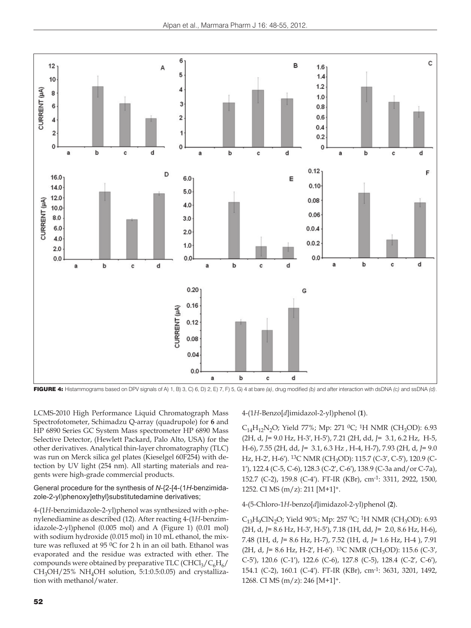

FIGURE 4: Histammograms based on DPV signals of A) 1, B) 3, C) 6, D) 2, E) 7, F) 5, G) 4 at bare *(a)*, drug modified *(b)* and after interaction with dsDNA *(c)* and ssDNA *(d)*.

LCMS-2010 High Performance Liquid Chromatograph Mass Spectrofotometer, Schimadzu Q-array (quadrupole) for **6** and HP 6890 Series GC System Mass spectrometer HP 6890 Mass Selective Detector, (Hewlett Packard, Palo Alto, USA) for the other derivatives. Analytical thin-layer chromatography (TLC) was run on Merck silica gel plates (Kieselgel 60F254) with detection by UV light (254 nm). All starting materials and reagents were high-grade commercial products.

General procedure for the synthesis of *N*-{2-[4-(1*H*-benzimidazole-2-yl)phenoxy]ethyl}substitutedamine derivatives;

4-(1*H*-benzimidazole-2-yl)phenol was synthesized with *o*-phenylenediamine as described (12). After reacting 4-(1*H*-benzimidazole-2-yl)phenol (0.005 mol) and A (Figure 1) (0.01 mol) with sodium hydroxide (0.015 mol) in 10 mL ethanol, the mixture was refluxed at 95 °C for 2 h in an oil bath. Ethanol was evaporated and the residue was extracted with ether. The compounds were obtained by preparative TLC (CHCl<sub>3</sub>/C<sub>6</sub>H<sub>6</sub>/  $CH<sub>3</sub>OH/25\% NH<sub>4</sub>OH$  solution, 5:1:0.5:0.05) and crystallization with methanol/water.

### 4-(1*H*-Benzo[*d*]imidazol-2-yl)phenol (**1**).

C<sub>14</sub>H<sub>12</sub>N<sub>2</sub>O; Yield 77%; Mp: 271 <sup>0</sup>C; <sup>1</sup>H NMR (CH<sub>3</sub>OD): 6.93 (2H, d, *J*= 9.0 Hz, H-3′, H-5′), 7.21 (2H, dd, *J*= 3.1, 6.2 Hz, H-5, H-6), 7.55 (2H, dd, *J*= 3.1, 6.3 Hz , H-4, H-7), 7.93 (2H, d, *J*= 9.0 Hz, H-2', H-6'). <sup>13</sup>C NMR (CH<sub>3</sub>OD): 115.7 (C-3', C-5'), 120.9 (C-1′), 122.4 (C-5, C-6), 128.3 (C-2′, C-6′), 138.9 (C-3a and/or C-7a), 152.7 (C-2), 159.8 (C-4′). FT-IR (KBr), cm-1: 3311, 2922, 1500, 1252. CI MS (m/z): 211 [M+1]+.

### 4-(5-Chloro-1*H*-benzo[*d*]imidazol-2-yl)phenol (**2**).

 $C_{13}H_9C/N_2O$ ; Yield 90%; Mp: 257 <sup>0</sup>C; <sup>1</sup>H NMR (CH<sub>3</sub>OD): 6.93 (2H, d, *J*= 8.6 Hz, H-3′, H-5′), 7.18 (1H, dd, *J*= 2.0, 8.6 Hz, H-6), 7.48 (1H, d, *J*= 8.6 Hz, H-7), 7.52 (1H, d, *J*= 1.6 Hz, H-4 ), 7.91 (2H, d, J = 8.6 Hz, H-2', H-6'). <sup>13</sup>C NMR (CH<sub>3</sub>OD): 115.6 (C-3', C-5′), 120.6 (C-1′), 122.6 (C-6), 127.8 (C-5), 128.4 (C-2′, C-6′), 154.1 (C-2), 160.1 (C-4′). FT-IR (KBr), cm-1: 3631, 3201, 1492, 1268. CI MS (m/z): 246 [M+1]+.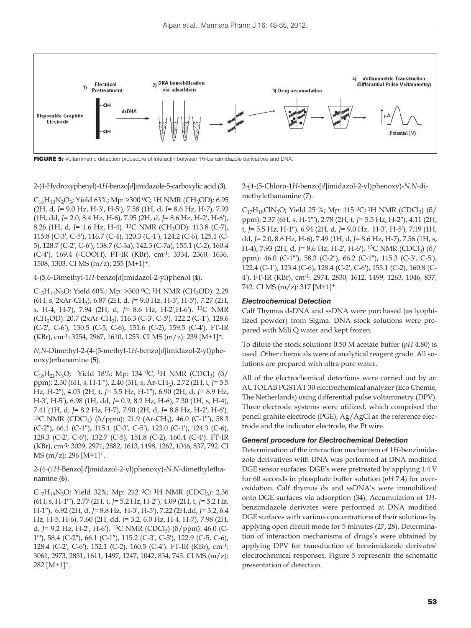

FIGURE 5: Voltammetric detection procedure of interactin between 1*H*-benzimidazole derivatives and DNA.

2-(4-Hydroxyphenyl)-1*H*-benzo[*d*]imidazole-5-carboxylic acid (**3**).

 $C_{14}H_{10}N_2O_3$ ; Yield 63%; Mp: >300 <sup>0</sup>C; <sup>1</sup>H NMR (CH<sub>3</sub>OD): 6.95 (2H, d, *J*= 9.0 Hz, H-3′, H-5′), 7.58 (1H, d, *J*= 8.6 Hz, H-7), 7.93 (1H, dd, *J*= 2.0, 8.4 Hz, H-6), 7.95 (2H, d, *J*= 8.6 Hz, H-2′, H-6′), 8.26 (1H, d, *J*= 1.6 Hz, H-4). <sup>13</sup>C NMR (CH<sub>3</sub>OD): 113.8 (C-7), 115.8 (C-3′, C-5′), 116.7 (C-4), 120.3 (C-1′), 124.2 (C-6), 125.1 (C-5), 128.7 (C-2′, C-6′), 138.7 (C-3a), 142.3 (C-7a), 155.1 (C-2), 160.4 (C-4′), 169.4 (-COOH). FT-IR (KBr), cm-1: 3334, 2360, 1636, 1508, 1303. CI MS (m/z): 255 [M+1]+.

4-(5,6-Dimethyl-1*H*-benzo[*d*]imidazol-2-yl)phenol (**4**).

 $C_{15}H_{14}N_2O$ ; Yield 60%; Mp: >300 <sup>0</sup>C; <sup>1</sup>H NMR (CH<sub>3</sub>OD): 2.29 (6H, s, 2xAr-CH3), 6.87 (2H, d, *J*= 9.0 Hz, H-3′, H-5′), 7.27 (2H, s, H-4, H-7), 7.94 (2H, d, *J*= 8.6 Hz, H-2′,H-6′). 13C NMR (CH3OD): 20.7 (2xAr-CH3), 116.3 (C-3′, C-5′), 122.2 (C-1′), 128.6 (C-2′, C-6′), 130.5 (C-5, C-6), 151.6 (C-2), 159.5 (C-4′). FT-IR (KBr), cm-1: 3254, 2967, 1610, 1253. CI MS (m/z): 239 [M+1]+.

*N,N*-Dimethyl-2-(4-(5-methyl-1*H*-benzo[*d*]imidazol-2-yl)phenoxy)ethanamine (**5**).

 $C_{18}H_{21}N_3O$ ; Yield 18%; Mp: 134 <sup>0</sup>C; <sup>1</sup>H NMR (CDCl<sub>3</sub>) (δ/ ppm): 2.30 (6H, s, H-1″′), 2.40 (3H, s, Ar-CH3), 2.72 (2H, t, *J*= 5.5 Hz, H-2″), 4.03 (2H, t, *J*= 5.5 Hz, H-1″), 6.90 (2H, d, *J*= 8.9 Hz, H-3′, H-5′), 6.98 (1H, dd, *J*= 0.9, 8.2 Hz, H-6), 7.30 (1H, s, H-4), 7.41 (1H, d, *J*= 8.2 Hz, H-7), 7.90 (2H, d, *J*= 8.8 Hz, H-2′, H-6′). 13C NMR (CDCl3) (δ/ppm): 21.9 (Ar-CH3), 46.0 (C-1″′), 58.3 (C-2″), 66.1 (C-1″), 115.1 (C-3′, C-5′), 123.0 (C-1′), 124.3 (C-6), 128.3 (C-2′, C-6′), 132.7 (C-5), 151.8 (C-2), 160.4 (C-4′). FT-IR (KBr), cm-1: 3039, 2971, 2882, 1613, 1498, 1262, 1046, 837, 792. CI  $MS(m/z): 296 [M+1]$ <sup>+</sup>.

2-(4-(1*H*-Benzo[*d*]imidazol-2-yl)phenoxy)-*N,N*-dimethylethanamine (**6**).

 $C_{17}H_{19}N_3O$ ; Yield 32%; Mp: 212 <sup>0</sup>C; <sup>1</sup>H NMR (CDCl<sub>3</sub>): 2.36 (6H, s, H-1″′), 2.77 (2H, t, *J*= 5.2 Hz, H-2″), 4.09 (2H, t, *J*= 5.2 Hz, H-1″), 6.92 (2H, d, *J*= 8.8 Hz, H-3′, H-5′), 7.22 (2H,dd, *J*= 3.2, 6.4 Hz, H-5, H-6), 7.60 (2H, dd, *J*= 3.2, 6.0 Hz, H-4, H-7), 7.98 (2H, d, *J*= 9.2 Hz, H-2', H-6'). <sup>13</sup>C NMR (CDCl<sub>3</sub>) (δ/ppm): 46.0 (C-1″′), 58.4 (C-2″), 66.1 (C-1″), 115.2 (C-3′, C-5′), 122.9 (C-5, C-6), 128.4 (C-2′, C-6′), 152.1 (C-2), 160.5 (C-4′). FT-IR (KBr), cm-1: 3061, 2973, 2851, 1611, 1497, 1247, 1042, 834, 745. CI MS (m/z):  $282$  [M+1]<sup>+</sup>.

2-(4-(5-Chloro-1*H*-benzo[*d*]imidazol-2-yl)phenoxy)-*N,N*-dimethylethanamine (**7**).

 $C_{17}H_{18}CIN_3O$ ; Yield 25 %; Mp: 115 °C; <sup>1</sup>H NMR (CDCl<sub>3</sub>) (δ/ ppm): 2.37 (6H, s, H-1″′), 2.78 (2H, t, *J*= 5.5 Hz, H-2″), 4.11 (2H, t, *J*= 5.5 Hz, H-1″), 6.94 (2H, d, *J*= 9.0 Hz, H-3′, H-5′), 7.19 (1H, dd, *J*= 2.0, 8.6 Hz, H-6), 7.49 (1H, d, *J*= 8.6 Hz, H-7), 7.56 (1H, s, H-4), 7.93 (2H, d, *J*= 8.6 Hz, H-2', H-6'). <sup>13</sup>C NMR (CDCl<sub>3</sub>) (δ/ ppm): 46.0 (C-1″′), 58.3 (C-2″), 66.2 (C-1″), 115.3 (C-3′, C-5′), 122.4 (C-1′), 123.4 (C-6), 128.4 (C-2′, C-6′), 153.1 (C-2), 160.8 (C-4′). FT-IR (KBr), cm-1: 2974, 2830, 1612, 1499, 1263, 1046, 837, 742. CI MS (m/z): 317 [M+1]+.

#### *Electrochemical Detection*

Calf Thymus dsDNA and ssDNA were purchased (as lyophilized powder) from Sigma. DNA stock solutions were prepared with Mili Q water and kept frozen.

To dilute the stock solutions 0.50 M acetate buffer (*pH* 4.80) is used. Other chemicals were of analytical reagent grade. All solutions are prepared with ultra pure water.

All of the electrochemical detections were carried out by an AUTOLAB PGSTAT 30 electrochemical analyzer (Eco Chemie, The Netherlands) using differential pulse voltammetry (DPV). Three electrode systems were utilized, which comprised the pencil grahite electrode (PGE), Ag/AgCl as the reference electrode and the indicator electrode, the Pt wire.

#### *General procedure for Electrochemical Detection*

Determination of the interaction mechanism of 1*H*-benzimidazole derivatives with DNA was performed at DNA modified DGE sensor surfaces. DGE's were pretreated by applying 1.4 V for 60 seconds in phosphate buffer solution (*pH* 7.4) for overoxidation. Calf thymus ds and ssDNA's were immobilized onto DGE surfaces via adsorption (34). Accumulation of 1*H*benzimdazole derivates were performed at DNA modified DGE surfaces with various concentrations of their solutions by applying open circuit mode for 5 minutes (27, 28). Determination of interaction mechanisms of drugs's were obtained by applying DPV for transduction of benzimidazole derivates' electrochemical responses. Figure 5 represents the schematic presentation of detection.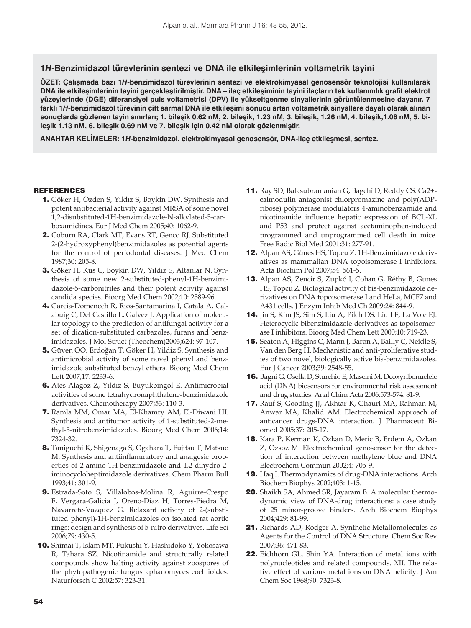## **1***H***-Benzimidazol türevlerinin sentezi ve DNA ile etkileşimlerinin voltametrik tayini**

**ÖZET: Çalışmada bazı 1***H***-benzimidazol türevlerinin sentezi ve elektrokimyasal genosensör teknolojisi kullanılarak DNA ile etkileşimlerinin tayini gerçekleştirilmiştir. DNA – ilaç etkileşiminin tayini ilaçların tek kullanımlık grafit elektrot yüzeylerinde (DGE) diferansiyel puls voltametrisi (DPV) ile yükseltgenme sinyallerinin görüntülenmesine dayanır. 7 farklı 1***H***-benzimidazol türevinin çift sarmal DNA ile etkileşimi sonucu artan voltametrik sinyallere dayalı olarak alınan sonuçlarda gözlenen tayin sınırları; 1. bileşik 0.62 nM, 2. bileşik, 1.23 nM, 3. bileşik, 1.26 nM, 4. bileşik,1.08 nM, 5. bileşik 1.13 nM, 6. bileşik 0.69 nM ve 7. bileşik için 0.42 nM olarak gözlenmiştir.**

**ANAHTAR KELİMELER: 1***H***-benzimidazol, elektrokimyasal genosensör, DNA-ilaç etkileşmesi, sentez.**

### **REFERENCES**

- 1. Göker H, Özden S, Yıldız S, Boykin DW. Synthesis and potent antibacterial activity against MRSA of some novel 1,2-disubstituted-1H-benzimidazole-N-alkylated-5-carboxamidines. Eur J Med Chem 2005;40: 1062-9.
- 2. Coburn RA, Clark MT, Evans RT, Genco RJ. Substituted 2-(2-hydroxyphenyl)benzimidazoles as potential agents for the control of periodontal diseases. J Med Chem 1987;30: 205-8.
- 3. Göker H, Kus C, Boykin DW, Yıldız S, Altanlar N. Synthesis of some new 2-substituted-phenyl-1H-benzimidazole-5-carbonitriles and their potent activity against candida species. Bioorg Med Chem 2002;10: 2589-96.
- 4. Garcia-Domenech R, Rios-Santamarina I, Catala A, Calabuig C, Del Castillo L, Galvez J. Application of molecular topology to the prediction of antifungal activity for a set of dication-substituted carbazoles, furans and benzimidazoles. J Mol Struct (Theochem)2003;624: 97-107.
- 5. Güven OO, Erdoğan T, Göker H, Yildiz S. Synthesis and antimicrobial activity of some novel phenyl and benzimidazole substituted benzyl ethers. Bioorg Med Chem Lett 2007;17: 2233-6.
- 6. Ates-Alagoz Z, Yıldız S, Buyukbingol E. Antimicrobial activities of some tetrahydronaphthalene-benzimidazole derivatives. Chemotherapy 2007;53: 110-3.
- 7. Ramla MM, Omar MA, El-Khamry AM, El-Diwani HI. Synthesis and antitumor activity of 1-substituted-2-methyl-5-nitrobenzimidazoles. Bioorg Med Chem 2006;14: 7324-32.
- 8. Taniguchi K, Shigenaga S, Ogahara T, Fujitsu T, Matsuo M. Synthesis and antiinflammatory and analgesic properties of 2-amino-1H-benzimidazole and 1,2-dihydro-2 iminocycloheptimidazole derivatives. Chem Pharm Bull 1993;41: 301-9.
- 9. Estrada-Soto S, Villalobos-Molina R, Aguirre-Crespo F, Vergara-Galicia J, Oreno-Diaz H, Torres-Piedra M, Navarrete-Vazquez G. Relaxant activity of 2-(substituted phenyl)-1H-benzimidazoles on isolated rat aortic rings: design and synthesis of 5-nitro derivatives. Life Sci 2006;79: 430-5.
- 10. Shimai T, Islam MT, Fukushi Y, Hashidoko Y, Yokosawa R, Tahara SZ. Nicotinamide and structurally related compounds show halting activity against zoospores of the phytopathogenic fungus aphanomyces cochlioides. Naturforsch C 2002;57: 323-31.
- 11. Ray SD, Balasubramanian G, Bagchi D, Reddy CS. Ca2+ calmodulin antagonist chlorpromazine and poly(ADPribose) polymerase modulators 4-aminobenzamide and nicotinamide influence hepatic expression of BCL-XL and P53 and protect against acetaminophen-induced programmed and unprogrammed cell death in mice. Free Radic Biol Med 2001;31: 277-91.
- 12. Alpan AS, Günes HS, Topcu Z. 1H-Benzimidazole derivatives as mammalian DNA topoisomerase I inhibitors. Acta Biochim Pol 2007;54: 561-5.
- 13. Alpan AS, Zencir S, Zupkó I, Coban G, Réthy B, Gunes HS, Topcu Z. Biological activity of bis-benzimidazole derivatives on DNA topoisomerase I and HeLa, MCF7 and A431 cells. J Enzym Inhib Med Ch 2009;24: 844-9.
- 14. Jin S, Kim JS, Sim S, Liu A, Pilch DS, Liu LF, La Voie EJ. Heterocyclic bibenzimidazole derivatives as topoisomerase I inhibitors. Bioorg Med Chem Lett 2000;10: 719-23.
- 15. Seaton A, Higgins C, Mann J, Baron A, Bailly C, Neidle S, Van den Berg H. Mechanistic and anti-proliferative studies of two novel, biologically active bis-benzimidazoles. Eur J Cancer 2003;39: 2548-55.
- 16. Bagni G, Osella D, Sturchio E, Mascini M. Deoxyribonucleic acid (DNA) biosensors for environmental risk assessment and drug studies. Anal Chim Acta 2006;573-574: 81-9.
- 17. Rauf S, Gooding JJ, Akhtar K, Ghauri MA, Rahman M, Anwar MA, Khalid AM. Electrochemical approach of anticancer drugs-DNA interaction. J Pharmaceut Biomed 2005;37: 205-17.
- 18. Kara P, Kerman K, Ozkan D, Meric B, Erdem A, Ozkan Z, Ozsoz M. Electrochemical genosensor for the detection of interaction between methylene blue and DNA Electrochem Commun 2002;4: 705-9.
- 19. Haq I. Thermodynamics of drug-DNA interactions. Arch Biochem Biophys 2002;403: 1-15.
- 20. Shaikh SA, Ahmed SR, Jayaram B. A molecular thermodynamic view of DNA-drug interactions: a case study of 25 minor-groove binders. Arch Biochem Biophys 2004;429: 81-99.
- 21. Richards AD, Rodger A. Synthetic Metallomolecules as Agents for the Control of DNA Structure. Chem Soc Rev 2007;36: 471-83.
- 22. Eichhorn GL, Shin YA. Interaction of metal ions with polynucleotides and related compounds. XII. The relative effect of various metal ions on DNA helicity. J Am Chem Soc 1968;90: 7323-8.